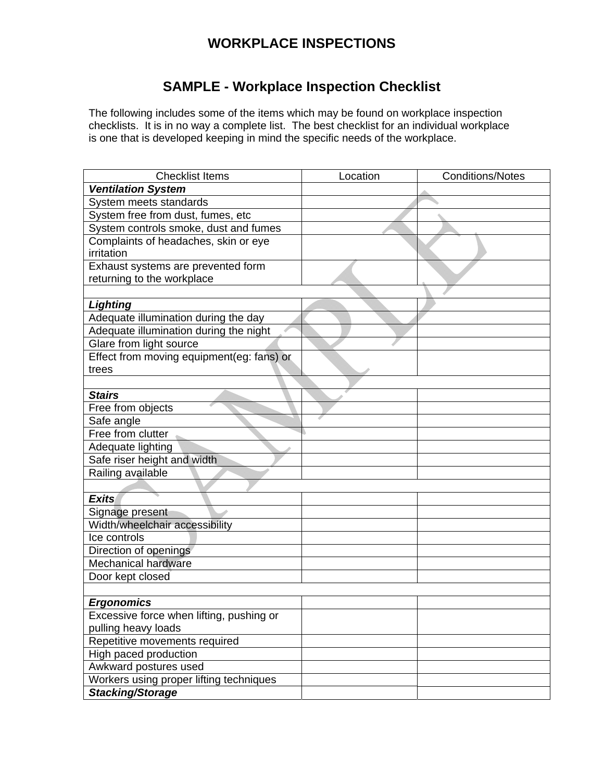## **WORKPLACE INSPECTIONS**

## **SAMPLE - Workplace Inspection Checklist**

The following includes some of the items which may be found on workplace inspection checklists. It is in no way a complete list. The best checklist for an individual workplace is one that is developed keeping in mind the specific needs of the workplace.

| <b>Checklist Items</b>                    | Location | <b>Conditions/Notes</b> |
|-------------------------------------------|----------|-------------------------|
| <b>Ventilation System</b>                 |          |                         |
| System meets standards                    |          |                         |
| System free from dust, fumes, etc         |          |                         |
| System controls smoke, dust and fumes     |          |                         |
| Complaints of headaches, skin or eye      |          |                         |
| irritation                                |          |                         |
| Exhaust systems are prevented form        |          |                         |
| returning to the workplace                |          |                         |
|                                           |          |                         |
| <b>Lighting</b>                           |          |                         |
| Adequate illumination during the day      |          |                         |
| Adequate illumination during the night    |          |                         |
| Glare from light source                   |          |                         |
| Effect from moving equipment(eg: fans) or |          |                         |
| trees                                     |          |                         |
|                                           |          |                         |
| <b>Stairs</b>                             |          |                         |
| Free from objects                         |          |                         |
| Safe angle                                |          |                         |
| Free from clutter                         |          |                         |
| Adequate lighting                         |          |                         |
| Safe riser height and width               |          |                         |
| Railing available                         |          |                         |
|                                           |          |                         |
| <b>Exits</b>                              |          |                         |
| Signage present                           |          |                         |
| Width/wheelchair accessibility            |          |                         |
| Ice controls                              |          |                         |
| Direction of openings                     |          |                         |
| Mechanical hardware                       |          |                         |
| Door kept closed                          |          |                         |
|                                           |          |                         |
| <b>Ergonomics</b>                         |          |                         |
| Excessive force when lifting, pushing or  |          |                         |
| pulling heavy loads                       |          |                         |
| Repetitive movements required             |          |                         |
| High paced production                     |          |                         |
| Awkward postures used                     |          |                         |
| Workers using proper lifting techniques   |          |                         |
| <b>Stacking/Storage</b>                   |          |                         |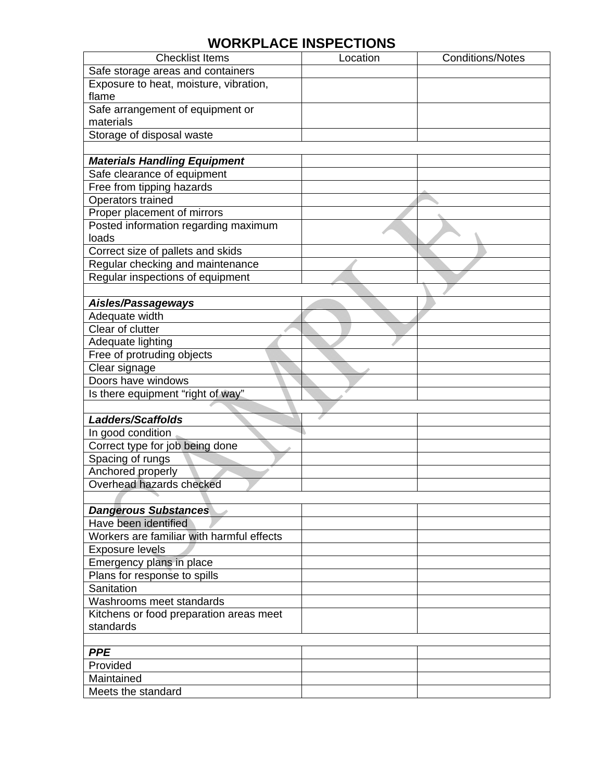## **WORKPLACE INSPECTIONS**

| <b>Checklist Items</b>                    | Location | <b>Conditions/Notes</b> |
|-------------------------------------------|----------|-------------------------|
| Safe storage areas and containers         |          |                         |
| Exposure to heat, moisture, vibration,    |          |                         |
| flame                                     |          |                         |
| Safe arrangement of equipment or          |          |                         |
| materials                                 |          |                         |
| Storage of disposal waste                 |          |                         |
|                                           |          |                         |
| <b>Materials Handling Equipment</b>       |          |                         |
| Safe clearance of equipment               |          |                         |
| Free from tipping hazards                 |          |                         |
| Operators trained                         |          |                         |
| Proper placement of mirrors               |          |                         |
| Posted information regarding maximum      |          |                         |
| loads                                     |          |                         |
| Correct size of pallets and skids         |          |                         |
| Regular checking and maintenance          |          |                         |
| Regular inspections of equipment          |          |                         |
|                                           |          |                         |
| Aisles/Passageways                        |          |                         |
| Adequate width                            |          |                         |
| Clear of clutter                          |          |                         |
| Adequate lighting                         |          |                         |
| Free of protruding objects                |          |                         |
| Clear signage                             |          |                         |
| Doors have windows                        |          |                         |
| Is there equipment "right of way"         |          |                         |
|                                           |          |                         |
| <b>Ladders/Scaffolds</b>                  |          |                         |
| In good condition                         |          |                         |
| Correct type for job being done           |          |                         |
| Spacing of rungs                          |          |                         |
| Anchored properly                         |          |                         |
| Overhead hazards checked                  |          |                         |
|                                           |          |                         |
| <b>Dangerous Substances</b>               |          |                         |
| Have been identified                      |          |                         |
| Workers are familiar with harmful effects |          |                         |
| <b>Exposure levels</b>                    |          |                         |
| Emergency plans in place                  |          |                         |
| Plans for response to spills              |          |                         |
| Sanitation                                |          |                         |
| Washrooms meet standards                  |          |                         |
| Kitchens or food preparation areas meet   |          |                         |
| standards                                 |          |                         |
|                                           |          |                         |
| <b>PPE</b>                                |          |                         |
| Provided                                  |          |                         |
| Maintained                                |          |                         |
| Meets the standard                        |          |                         |